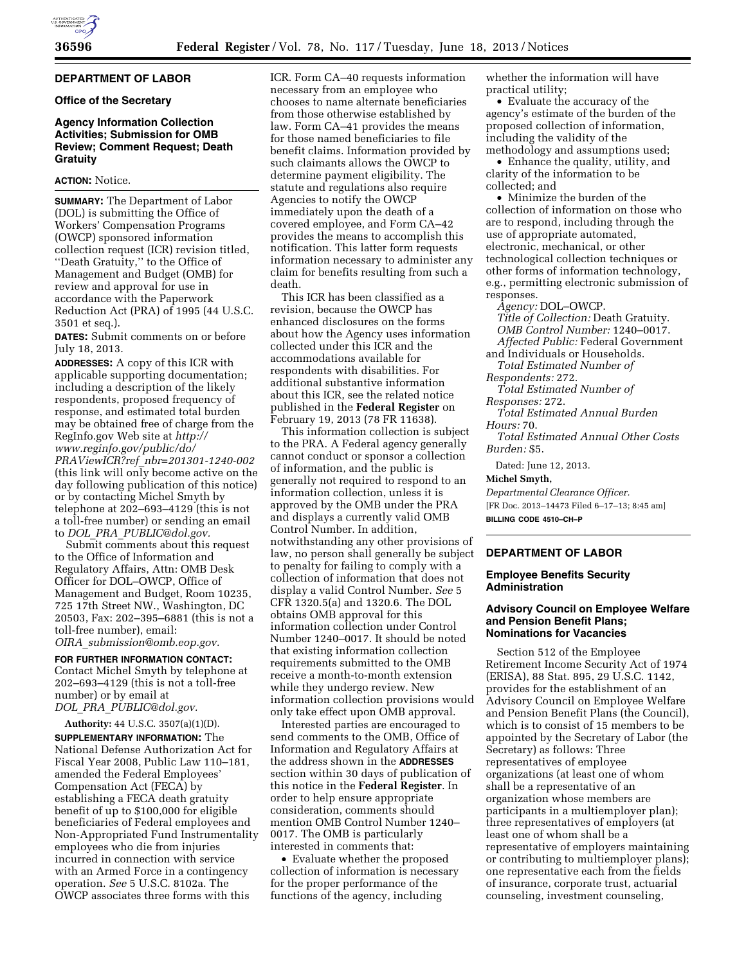# **DEPARTMENT OF LABOR**

## **Office of the Secretary**

# **Agency Information Collection Activities; Submission for OMB Review; Comment Request; Death Gratuity**

## **ACTION:** Notice.

**SUMMARY:** The Department of Labor (DOL) is submitting the Office of Workers' Compensation Programs (OWCP) sponsored information collection request (ICR) revision titled, ''Death Gratuity,'' to the Office of Management and Budget (OMB) for review and approval for use in accordance with the Paperwork Reduction Act (PRA) of 1995 (44 U.S.C. 3501 et seq.).

**DATES:** Submit comments on or before July 18, 2013.

**ADDRESSES:** A copy of this ICR with applicable supporting documentation; including a description of the likely respondents, proposed frequency of response, and estimated total burden may be obtained free of charge from the RegInfo.gov Web site at *[http://](http://www.reginfo.gov/public/do/PRAViewICR?ref_nbr=201301-1240-002) [www.reginfo.gov/public/do/](http://www.reginfo.gov/public/do/PRAViewICR?ref_nbr=201301-1240-002)  PRAViewICR?ref*\_*[nbr=201301-1240-002](http://www.reginfo.gov/public/do/PRAViewICR?ref_nbr=201301-1240-002)*  (this link will only become active on the day following publication of this notice) or by contacting Michel Smyth by telephone at 202–693–4129 (this is not a toll-free number) or sending an email to *DOL*\_*PRA*\_*[PUBLIC@dol.gov.](mailto:DOL_PRA_PUBLIC@dol.gov)* 

Submit comments about this request to the Office of Information and Regulatory Affairs, Attn: OMB Desk Officer for DOL–OWCP, Office of Management and Budget, Room 10235, 725 17th Street NW., Washington, DC 20503, Fax: 202–395–6881 (this is not a toll-free number), email:

*OIRA*\_*[submission@omb.eop.gov.](mailto:OIRA_submission@omb.eop.gov)* 

**FOR FURTHER INFORMATION CONTACT:**  Contact Michel Smyth by telephone at 202–693–4129 (this is not a toll-free number) or by email at *DOL*\_*PRA*\_*[PUBLIC@dol.gov.](mailto:DOL_PRA_PUBLIC@dol.gov)* 

**Authority:** 44 U.S.C. 3507(a)(1)(D). **SUPPLEMENTARY INFORMATION:** The National Defense Authorization Act for Fiscal Year 2008, Public Law 110–181, amended the Federal Employees' Compensation Act (FECA) by establishing a FECA death gratuity benefit of up to \$100,000 for eligible beneficiaries of Federal employees and Non-Appropriated Fund Instrumentality employees who die from injuries incurred in connection with service with an Armed Force in a contingency operation. *See* 5 U.S.C. 8102a. The OWCP associates three forms with this

ICR. Form CA–40 requests information necessary from an employee who chooses to name alternate beneficiaries from those otherwise established by law. Form CA–41 provides the means for those named beneficiaries to file benefit claims. Information provided by such claimants allows the OWCP to determine payment eligibility. The statute and regulations also require Agencies to notify the OWCP immediately upon the death of a covered employee, and Form CA–42 provides the means to accomplish this notification. This latter form requests information necessary to administer any claim for benefits resulting from such a death.

This ICR has been classified as a revision, because the OWCP has enhanced disclosures on the forms about how the Agency uses information collected under this ICR and the accommodations available for respondents with disabilities. For additional substantive information about this ICR, see the related notice published in the **Federal Register** on February 19, 2013 (78 FR 11638).

This information collection is subject to the PRA. A Federal agency generally cannot conduct or sponsor a collection of information, and the public is generally not required to respond to an information collection, unless it is approved by the OMB under the PRA and displays a currently valid OMB Control Number. In addition, notwithstanding any other provisions of law, no person shall generally be subject to penalty for failing to comply with a collection of information that does not display a valid Control Number. *See* 5 CFR 1320.5(a) and 1320.6. The DOL obtains OMB approval for this information collection under Control Number 1240–0017. It should be noted that existing information collection requirements submitted to the OMB receive a month-to-month extension while they undergo review. New information collection provisions would only take effect upon OMB approval.

Interested parties are encouraged to send comments to the OMB, Office of Information and Regulatory Affairs at the address shown in the **ADDRESSES** section within 30 days of publication of this notice in the **Federal Register**. In order to help ensure appropriate consideration, comments should mention OMB Control Number 1240– 0017. The OMB is particularly interested in comments that:

• Evaluate whether the proposed collection of information is necessary for the proper performance of the functions of the agency, including

whether the information will have practical utility;

• Evaluate the accuracy of the agency's estimate of the burden of the proposed collection of information, including the validity of the methodology and assumptions used;

• Enhance the quality, utility, and clarity of the information to be collected; and

• Minimize the burden of the collection of information on those who are to respond, including through the use of appropriate automated, electronic, mechanical, or other technological collection techniques or other forms of information technology, e.g., permitting electronic submission of responses.

*Agency:* DOL–OWCP.

*Title of Collection:* Death Gratuity. *OMB Control Number:* 1240–0017. *Affected Public:* Federal Government

and Individuals or Households. *Total Estimated Number of* 

*Respondents:* 272. *Total Estimated Number of* 

*Responses:* 272.

*Total Estimated Annual Burden Hours:* 70.

*Total Estimated Annual Other Costs Burden:* \$5.

Dated: June 12, 2013.

#### **Michel Smyth,**

*Departmental Clearance Officer.*  [FR Doc. 2013–14473 Filed 6–17–13; 8:45 am] **BILLING CODE 4510–CH–P** 

# **DEPARTMENT OF LABOR**

### **Employee Benefits Security Administration**

## **Advisory Council on Employee Welfare and Pension Benefit Plans; Nominations for Vacancies**

Section 512 of the Employee Retirement Income Security Act of 1974 (ERISA), 88 Stat. 895, 29 U.S.C. 1142, provides for the establishment of an Advisory Council on Employee Welfare and Pension Benefit Plans (the Council), which is to consist of 15 members to be appointed by the Secretary of Labor (the Secretary) as follows: Three representatives of employee organizations (at least one of whom shall be a representative of an organization whose members are participants in a multiemployer plan); three representatives of employers (at least one of whom shall be a representative of employers maintaining or contributing to multiemployer plans); one representative each from the fields of insurance, corporate trust, actuarial counseling, investment counseling,